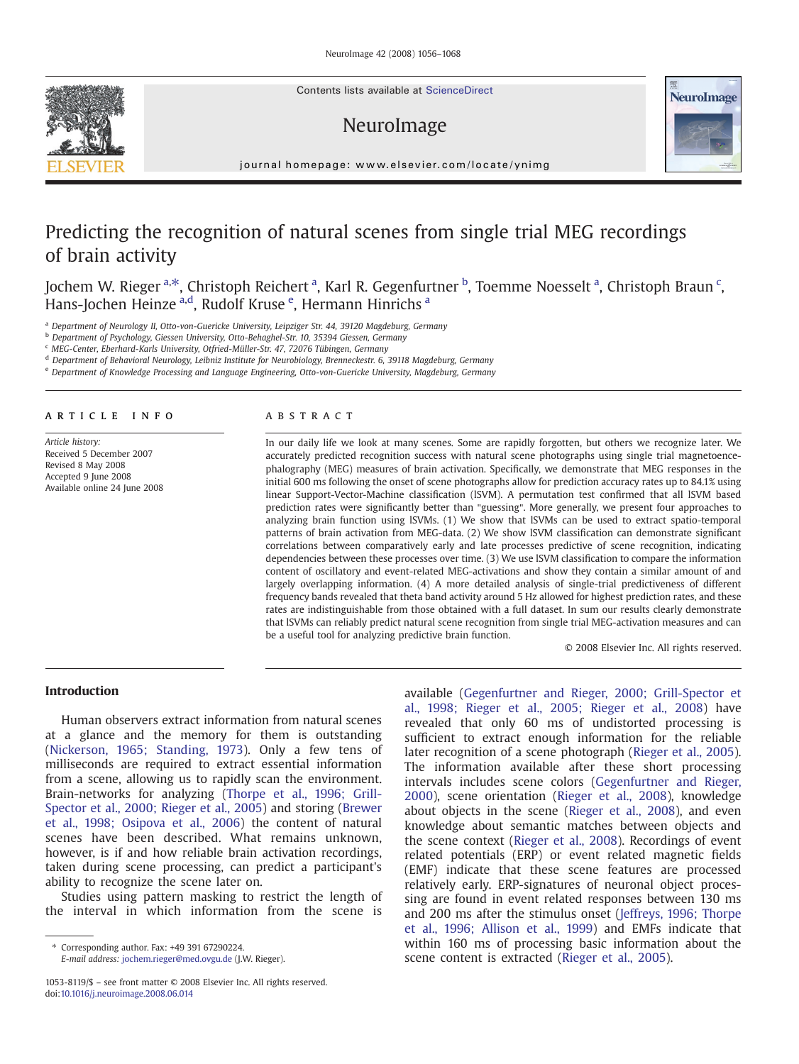Contents lists available at ScienceDirect

# NeuroImage



journal homepage: www.elsevier.com/locate/ynimg

# Predicting the recognition of natural scenes from single trial MEG recordings of brain activity

Jochem W. Rieger <sup>a,\*</sup>, Christoph Reichert <sup>a</sup>, Karl R. Gegenfurtner <sup>b</sup>, Toemme Noesselt <sup>a</sup>, Christoph Braun <sup>c</sup>, Hans-Jochen Heinze <sup>a,d</sup>, Rudolf Kruse <sup>e</sup>, Hermann Hinrichs <sup>a</sup>

a Department of Neurology II, Otto-von-Guericke University, Leipziger Str. 44, 39120 Magdeburg, Germany

<sup>b</sup> Department of Psychology, Giessen University, Otto-Behaghel-Str. 10, 35394 Giessen, Germany

<sup>c</sup> MEG-Center, Eberhard-Karls University, Otfried-Müller-Str. 47, 72076 Tübingen, Germany

<sup>d</sup> Department of Behavioral Neurology, Leibniz Institute for Neurobiology, Brenneckestr. 6, 39118 Magdeburg, Germany

<sup>e</sup> Department of Knowledge Processing and Language Engineering, Otto-von-Guericke University, Magdeburg, Germany

#### article info abstract

Article history: Received 5 December 2007 Revised 8 May 2008 Accepted 9 June 2008 Available online 24 June 2008

In our daily life we look at many scenes. Some are rapidly forgotten, but others we recognize later. We accurately predicted recognition success with natural scene photographs using single trial magnetoencephalography (MEG) measures of brain activation. Specifically, we demonstrate that MEG responses in the initial 600 ms following the onset of scene photographs allow for prediction accuracy rates up to 84.1% using linear Support-Vector-Machine classification (lSVM). A permutation test confirmed that all lSVM based prediction rates were significantly better than "guessing". More generally, we present four approaches to analyzing brain function using lSVMs. (1) We show that lSVMs can be used to extract spatio-temporal patterns of brain activation from MEG-data. (2) We show lSVM classification can demonstrate significant correlations between comparatively early and late processes predictive of scene recognition, indicating dependencies between these processes over time. (3) We use lSVM classification to compare the information content of oscillatory and event-related MEG-activations and show they contain a similar amount of and largely overlapping information. (4) A more detailed analysis of single-trial predictiveness of different frequency bands revealed that theta band activity around 5 Hz allowed for highest prediction rates, and these rates are indistinguishable from those obtained with a full dataset. In sum our results clearly demonstrate that lSVMs can reliably predict natural scene recognition from single trial MEG-activation measures and can be a useful tool for analyzing predictive brain function.

© 2008 Elsevier Inc. All rights reserved.

#### Introduction

Human observers extract information from natural scenes at a glance and the memory for them is outstanding ([Nickerson, 1965; Standing, 1973](#page-12-0)). Only a few tens of milliseconds are required to extract essential information from a scene, allowing us to rapidly scan the environment. Brain-networks for analyzing [\(Thorpe et al., 1996; Grill-](#page-12-0)[Spector et al., 2000; Rieger et al., 2005\)](#page-12-0) and storing [\(Brewer](#page-12-0) [et al., 1998; Osipova et al., 2006](#page-12-0)) the content of natural scenes have been described. What remains unknown, however, is if and how reliable brain activation recordings, taken during scene processing, can predict a participant's ability to recognize the scene later on.

Studies using pattern masking to restrict the length of the interval in which information from the scene is

E-mail address: [jochem.rieger@med.ovgu.de](mailto:jochem.rieger@med.ovgu.de) (J.W. Rieger).

available ([Gegenfurtner and Rieger, 2000; Grill-Spector et](#page-12-0) [al., 1998; Rieger et al., 2005; Rieger et al., 2008](#page-12-0)) have revealed that only 60 ms of undistorted processing is sufficient to extract enough information for the reliable later recognition of a scene photograph [\(Rieger et al., 2005](#page-12-0)). The information available after these short processing intervals includes scene colors [\(Gegenfurtner and Rieger,](#page-12-0) [2000\)](#page-12-0), scene orientation ([Rieger et al., 2008](#page-12-0)), knowledge about objects in the scene [\(Rieger et al., 2008\)](#page-12-0), and even knowledge about semantic matches between objects and the scene context [\(Rieger et al., 2008](#page-12-0)). Recordings of event related potentials (ERP) or event related magnetic fields (EMF) indicate that these scene features are processed relatively early. ERP-signatures of neuronal object processing are found in event related responses between 130 ms and 200 ms after the stimulus onset [\(Jeffreys, 1996; Thorpe](#page-12-0) [et al., 1996; Allison et al., 1999\)](#page-12-0) and EMFs indicate that within 160 ms of processing basic information about the scene content is extracted [\(Rieger et al., 2005\)](#page-12-0).



<sup>⁎</sup> Corresponding author. Fax: +49 391 67290224.

<sup>1053-8119/\$</sup> – see front matter © 2008 Elsevier Inc. All rights reserved. doi[:10.1016/j.neuroimage.2008.06.014](http://dx.doi.org/10.1016/j.neuroimage.2008.06.014)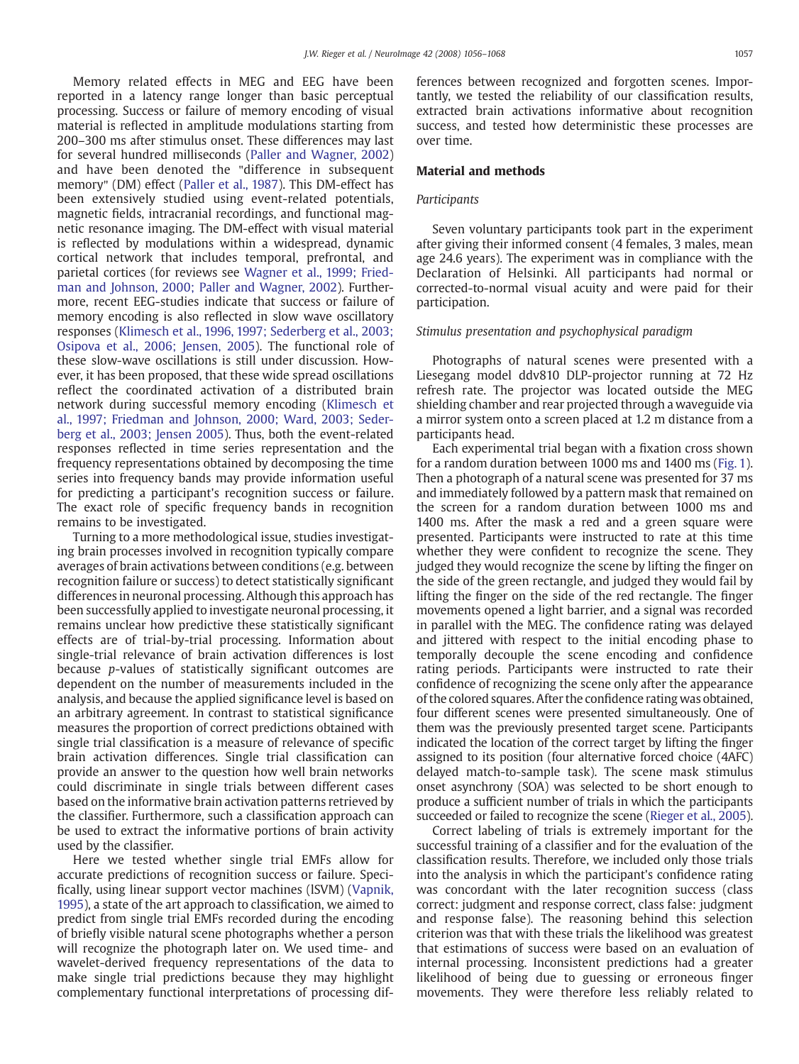Memory related effects in MEG and EEG have been reported in a latency range longer than basic perceptual processing. Success or failure of memory encoding of visual material is reflected in amplitude modulations starting from 200–300 ms after stimulus onset. These differences may last for several hundred milliseconds ([Paller and Wagner, 2002](#page-12-0)) and have been denoted the "difference in subsequent memory" (DM) effect ([Paller et al., 1987](#page-12-0)). This DM-effect has been extensively studied using event-related potentials, magnetic fields, intracranial recordings, and functional magnetic resonance imaging. The DM-effect with visual material is reflected by modulations within a widespread, dynamic cortical network that includes temporal, prefrontal, and parietal cortices (for reviews see [Wagner et al., 1999; Fried](#page-12-0)[man and Johnson, 2000; Paller and Wagner, 2002](#page-12-0)). Furthermore, recent EEG-studies indicate that success or failure of memory encoding is also reflected in slow wave oscillatory responses ([Klimesch et al., 1996, 1997; Sederberg et al., 2003;](#page-12-0) [Osipova et al., 2006; Jensen, 2005](#page-12-0)). The functional role of these slow-wave oscillations is still under discussion. However, it has been proposed, that these wide spread oscillations reflect the coordinated activation of a distributed brain network during successful memory encoding ([Klimesch et](#page-12-0) [al., 1997; Friedman and Johnson, 2000; Ward, 2003; Seder](#page-12-0)[berg et al., 2003; Jensen 2005](#page-12-0)). Thus, both the event-related responses reflected in time series representation and the frequency representations obtained by decomposing the time series into frequency bands may provide information useful for predicting a participant's recognition success or failure. The exact role of specific frequency bands in recognition remains to be investigated.

Turning to a more methodological issue, studies investigating brain processes involved in recognition typically compare averages of brain activations between conditions (e.g. between recognition failure or success) to detect statistically significant differences in neuronal processing. Although this approach has been successfully applied to investigate neuronal processing, it remains unclear how predictive these statistically significant effects are of trial-by-trial processing. Information about single-trial relevance of brain activation differences is lost because p-values of statistically significant outcomes are dependent on the number of measurements included in the analysis, and because the applied significance level is based on an arbitrary agreement. In contrast to statistical significance measures the proportion of correct predictions obtained with single trial classification is a measure of relevance of specific brain activation differences. Single trial classification can provide an answer to the question how well brain networks could discriminate in single trials between different cases based on the informative brain activation patterns retrieved by the classifier. Furthermore, such a classification approach can be used to extract the informative portions of brain activity used by the classifier.

Here we tested whether single trial EMFs allow for accurate predictions of recognition success or failure. Specifically, using linear support vector machines (lSVM) ([Vapnik,](#page-12-0) [1995](#page-12-0)), a state of the art approach to classification, we aimed to predict from single trial EMFs recorded during the encoding of briefly visible natural scene photographs whether a person will recognize the photograph later on. We used time- and wavelet-derived frequency representations of the data to make single trial predictions because they may highlight complementary functional interpretations of processing differences between recognized and forgotten scenes. Importantly, we tested the reliability of our classification results, extracted brain activations informative about recognition success, and tested how deterministic these processes are over time.

#### Material and methods

#### Participants

Seven voluntary participants took part in the experiment after giving their informed consent (4 females, 3 males, mean age 24.6 years). The experiment was in compliance with the Declaration of Helsinki. All participants had normal or corrected-to-normal visual acuity and were paid for their participation.

### Stimulus presentation and psychophysical paradigm

Photographs of natural scenes were presented with a Liesegang model ddv810 DLP-projector running at 72 Hz refresh rate. The projector was located outside the MEG shielding chamber and rear projected through a waveguide via a mirror system onto a screen placed at 1.2 m distance from a participants head.

Each experimental trial began with a fixation cross shown for a random duration between 1000 ms and 1400 ms [\(Fig. 1](#page-2-0)). Then a photograph of a natural scene was presented for 37 ms and immediately followed by a pattern mask that remained on the screen for a random duration between 1000 ms and 1400 ms. After the mask a red and a green square were presented. Participants were instructed to rate at this time whether they were confident to recognize the scene. They judged they would recognize the scene by lifting the finger on the side of the green rectangle, and judged they would fail by lifting the finger on the side of the red rectangle. The finger movements opened a light barrier, and a signal was recorded in parallel with the MEG. The confidence rating was delayed and jittered with respect to the initial encoding phase to temporally decouple the scene encoding and confidence rating periods. Participants were instructed to rate their confidence of recognizing the scene only after the appearance of the colored squares. After the confidence rating was obtained, four different scenes were presented simultaneously. One of them was the previously presented target scene. Participants indicated the location of the correct target by lifting the finger assigned to its position (four alternative forced choice (4AFC) delayed match-to-sample task). The scene mask stimulus onset asynchrony (SOA) was selected to be short enough to produce a sufficient number of trials in which the participants succeeded or failed to recognize the scene ([Rieger et al., 2005](#page-12-0)).

Correct labeling of trials is extremely important for the successful training of a classifier and for the evaluation of the classification results. Therefore, we included only those trials into the analysis in which the participant's confidence rating was concordant with the later recognition success (class correct: judgment and response correct, class false: judgment and response false). The reasoning behind this selection criterion was that with these trials the likelihood was greatest that estimations of success were based on an evaluation of internal processing. Inconsistent predictions had a greater likelihood of being due to guessing or erroneous finger movements. They were therefore less reliably related to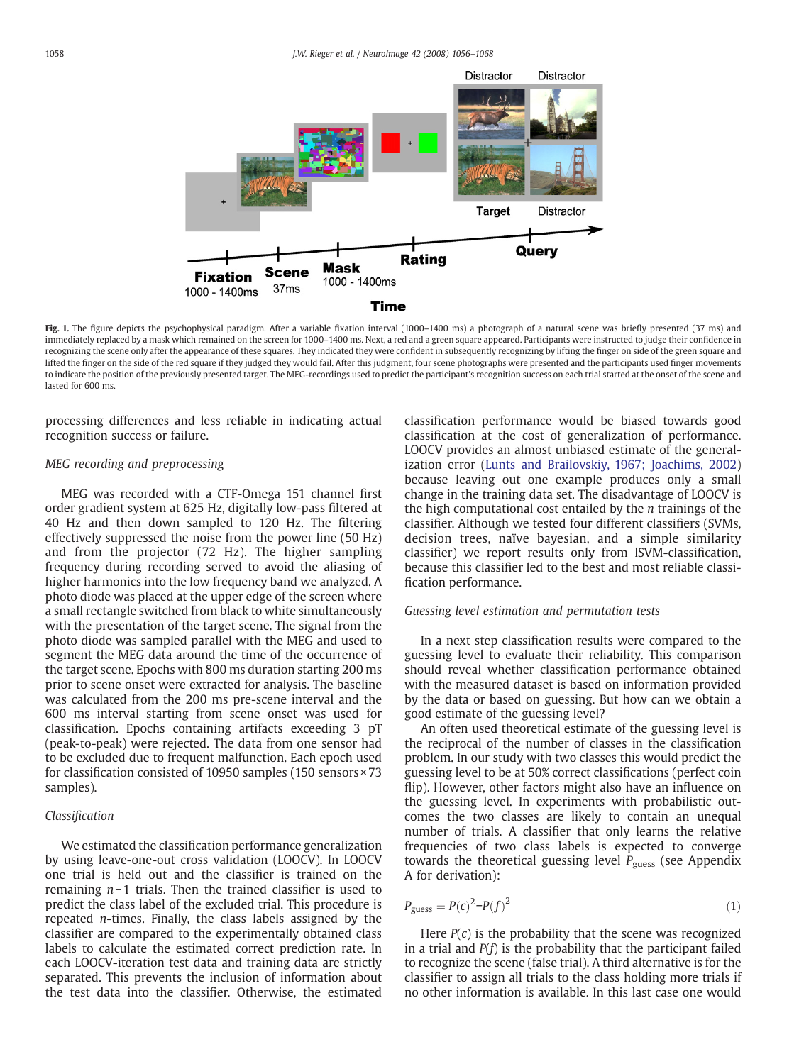<span id="page-2-0"></span>

Fig. 1. The figure depicts the psychophysical paradigm. After a variable fixation interval (1000-1400 ms) a photograph of a natural scene was briefly presented (37 ms) and immediately replaced by a mask which remained on the screen for 1000–1400 ms. Next, a red and a green square appeared. Participants were instructed to judge their confidence in recognizing the scene only after the appearance of these squares. They indicated they were confident in subsequently recognizing by lifting the finger on side of the green square and lifted the finger on the side of the red square if they judged they would fail. After this judgment, four scene photographs were presented and the participants used finger movements to indicate the position of the previously presented target. The MEG-recordings used to predict the participant's recognition success on each trial started at the onset of the scene and lasted for 600 ms.

processing differences and less reliable in indicating actual recognition success or failure.

#### MEG recording and preprocessing

MEG was recorded with a CTF-Omega 151 channel first order gradient system at 625 Hz, digitally low-pass filtered at 40 Hz and then down sampled to 120 Hz. The filtering effectively suppressed the noise from the power line (50 Hz) and from the projector (72 Hz). The higher sampling frequency during recording served to avoid the aliasing of higher harmonics into the low frequency band we analyzed. A photo diode was placed at the upper edge of the screen where a small rectangle switched from black to white simultaneously with the presentation of the target scene. The signal from the photo diode was sampled parallel with the MEG and used to segment the MEG data around the time of the occurrence of the target scene. Epochs with 800 ms duration starting 200 ms prior to scene onset were extracted for analysis. The baseline was calculated from the 200 ms pre-scene interval and the 600 ms interval starting from scene onset was used for classification. Epochs containing artifacts exceeding 3 pT (peak-to-peak) were rejected. The data from one sensor had to be excluded due to frequent malfunction. Each epoch used for classification consisted of 10950 samples (150 sensors × 73 samples).

# Classification

We estimated the classification performance generalization by using leave-one-out cross validation (LOOCV). In LOOCV one trial is held out and the classifier is trained on the remaining n−1 trials. Then the trained classifier is used to predict the class label of the excluded trial. This procedure is repeated n-times. Finally, the class labels assigned by the classifier are compared to the experimentally obtained class labels to calculate the estimated correct prediction rate. In each LOOCV-iteration test data and training data are strictly separated. This prevents the inclusion of information about the test data into the classifier. Otherwise, the estimated

classification performance would be biased towards good classification at the cost of generalization of performance. LOOCV provides an almost unbiased estimate of the generalization error [\(Lunts and Brailovskiy, 1967; Joachims, 2002](#page-12-0)) because leaving out one example produces only a small change in the training data set. The disadvantage of LOOCV is the high computational cost entailed by the n trainings of the classifier. Although we tested four different classifiers (SVMs, decision trees, naïve bayesian, and a simple similarity classifier) we report results only from lSVM-classification, because this classifier led to the best and most reliable classification performance.

#### Guessing level estimation and permutation tests

In a next step classification results were compared to the guessing level to evaluate their reliability. This comparison should reveal whether classification performance obtained with the measured dataset is based on information provided by the data or based on guessing. But how can we obtain a good estimate of the guessing level?

An often used theoretical estimate of the guessing level is the reciprocal of the number of classes in the classification problem. In our study with two classes this would predict the guessing level to be at 50% correct classifications (perfect coin flip). However, other factors might also have an influence on the guessing level. In experiments with probabilistic outcomes the two classes are likely to contain an unequal number of trials. A classifier that only learns the relative frequencies of two class labels is expected to converge towards the theoretical guessing level  $P_{\text{guess}}$  (see Appendix A for derivation):

$$
P_{\text{guess}} = P(c)^2 - P(f)^2 \tag{1}
$$

Here  $P(c)$  is the probability that the scene was recognized in a trial and  $P(f)$  is the probability that the participant failed to recognize the scene (false trial). A third alternative is for the classifier to assign all trials to the class holding more trials if no other information is available. In this last case one would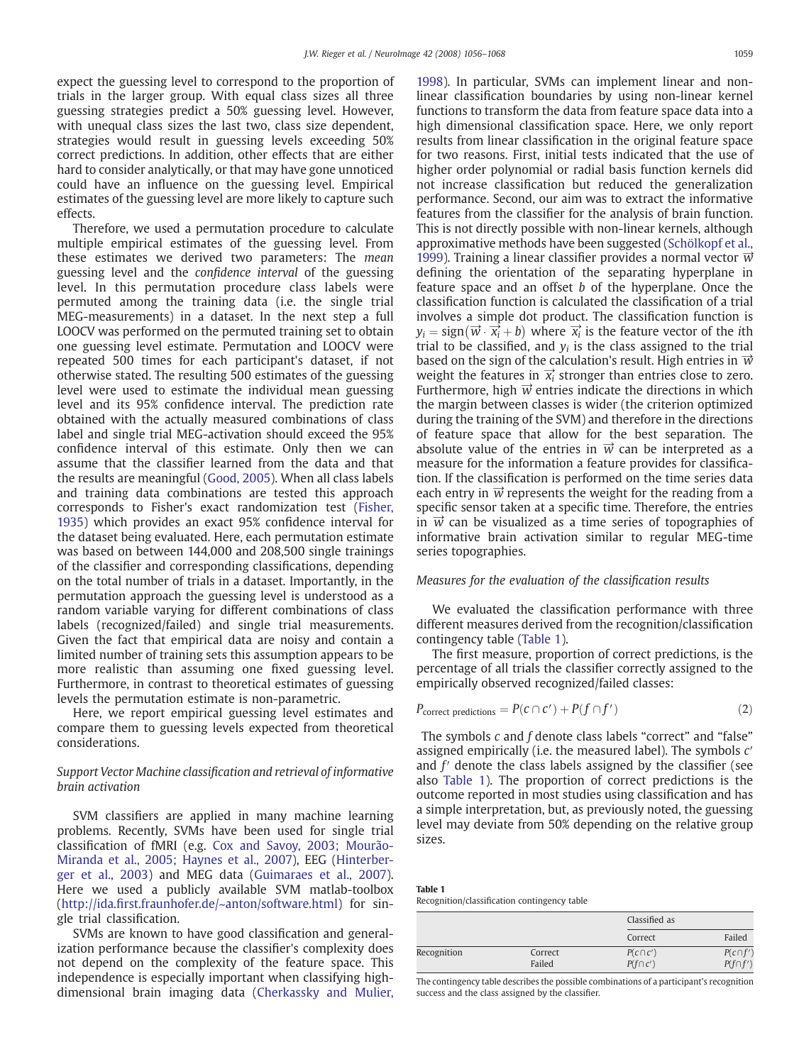<span id="page-3-0"></span>expect the guessing level to correspond to the proportion of trials in the larger group. With equal class sizes all three guessing strategies predict a 50% guessing level. However, with unequal class sizes the last two, class size dependent, strategies would result in guessing levels exceeding 50% correct predictions. In addition, other effects that are either hard to consider analytically, or that may have gone unnoticed could have an influence on the guessing level. Empirical estimates of the guessing level are more likely to capture such effects.

Therefore, we used a permutation procedure to calculate multiple empirical estimates of the guessing level. From these estimates we derived two parameters: The mean guessing level and the confidence interval of the guessing level. In this permutation procedure class labels were permuted among the training data (i.e. the single trial MEG-measurements) in a dataset. In the next step a full LOOCV was performed on the permuted training set to obtain one guessing level estimate. Permutation and LOOCV were repeated 500 times for each participant's dataset, if not otherwise stated. The resulting 500 estimates of the guessing level were used to estimate the individual mean guessing level and its 95% confidence interval. The prediction rate obtained with the actually measured combinations of class label and single trial MEG-activation should exceed the 95% confidence interval of this estimate. Only then we can assume that the classifier learned from the data and that the results are meaningful ([Good, 2005\)](#page-12-0). When all class labels and training data combinations are tested this approach corresponds to Fisher's exact randomization test [\(Fisher,](#page-12-0) [1935](#page-12-0)) which provides an exact 95% confidence interval for the dataset being evaluated. Here, each permutation estimate was based on between 144,000 and 208,500 single trainings of the classifier and corresponding classifications, depending on the total number of trials in a dataset. Importantly, in the permutation approach the guessing level is understood as a random variable varying for different combinations of class labels (recognized/failed) and single trial measurements. Given the fact that empirical data are noisy and contain a limited number of training sets this assumption appears to be more realistic than assuming one fixed guessing level. Furthermore, in contrast to theoretical estimates of guessing levels the permutation estimate is non-parametric.

Here, we report empirical guessing level estimates and compare them to guessing levels expected from theoretical considerations.

#### Support Vector Machine classification and retrieval of informative brain activation

SVM classifiers are applied in many machine learning problems. Recently, SVMs have been used for single trial classification of fMRI (e.g. [Cox and Savoy, 2003; Mourão-](#page-12-0)[Miranda et al., 2005; Haynes et al., 2007\)](#page-12-0), EEG ([Hinterber](#page-12-0)[ger et al., 2003](#page-12-0)) and MEG data ([Guimaraes et al., 2007](#page-12-0)). Here we used a publicly available SVM matlab-toolbox (http://ida.fi[rst.fraunhofer.de/~anton/software.html\)](http://ida.first.fraunhofer.de/~anton/software.html) for single trial classification.

SVMs are known to have good classification and generalization performance because the classifier's complexity does not depend on the complexity of the feature space. This independence is especially important when classifying highdimensional brain imaging data ([Cherkassky and Mulier,](#page-12-0)

[1998](#page-12-0)). In particular, SVMs can implement linear and nonlinear classification boundaries by using non-linear kernel functions to transform the data from feature space data into a high dimensional classification space. Here, we only report results from linear classification in the original feature space for two reasons. First, initial tests indicated that the use of higher order polynomial or radial basis function kernels did not increase classification but reduced the generalization performance. Second, our aim was to extract the informative features from the classifier for the analysis of brain function. This is not directly possible with non-linear kernels, although approximative methods have been suggested [\(Schölkopf et al.,](#page-12-0) [1999](#page-12-0)). Training a linear classifier provides a normal vector  $\vec{w}$ defining the orientation of the separating hyperplane in feature space and an offset b of the hyperplane. Once the classification function is calculated the classification of a trial involves a simple dot product. The classification function is  $y_i = \text{sign}(\overrightarrow{w} \cdot \overrightarrow{x_i} + b)$  where  $\overrightarrow{x_i}$  is the feature vector of the ith trial to be classified, and  $y_i$  is the class assigned to the trial based on the sign of the calculation's result. High entries in  $\vec{w}$ weight the features in  $\vec{x}$  stronger than entries close to zero. Furthermore, high  $\vec{w}$  entries indicate the directions in which the margin between classes is wider (the criterion optimized during the training of the SVM) and therefore in the directions of feature space that allow for the best separation. The absolute value of the entries in  $\vec{w}$  can be interpreted as a measure for the information a feature provides for classification. If the classification is performed on the time series data each entry in  $\vec{w}$  represents the weight for the reading from a specific sensor taken at a specific time. Therefore, the entries in  $\vec{w}$  can be visualized as a time series of topographies of informative brain activation similar to regular MEG-time series topographies.

## Measures for the evaluation of the classification results

We evaluated the classification performance with three different measures derived from the recognition/classification contingency table (Table 1).

The first measure, proportion of correct predictions, is the percentage of all trials the classifier correctly assigned to the empirically observed recognized/failed classes:

$$
P_{\text{correct predictions}} = P(c \cap c') + P(f \cap f') \tag{2}
$$

The symbols c and f denote class labels "correct" and "false" assigned empirically (i.e. the measured label). The symbols c′ and f′ denote the class labels assigned by the classifier (see also Table 1). The proportion of correct predictions is the outcome reported in most studies using classification and has a simple interpretation, but, as previously noted, the guessing level may deviate from 50% depending on the relative group sizes.

| ш<br> |  |
|-------|--|
|-------|--|

Recognition/classification contingency table

|             |                   | Classified as                    |                                  |
|-------------|-------------------|----------------------------------|----------------------------------|
|             |                   | Correct                          | Failed                           |
| Recognition | Correct<br>Failed | $P(c \cap c')$<br>$P(f \cap c')$ | $P(c \cap f')$<br>$P(f \cap f')$ |

The contingency table describes the possible combinations of a participant's recognition success and the class assigned by the classifier.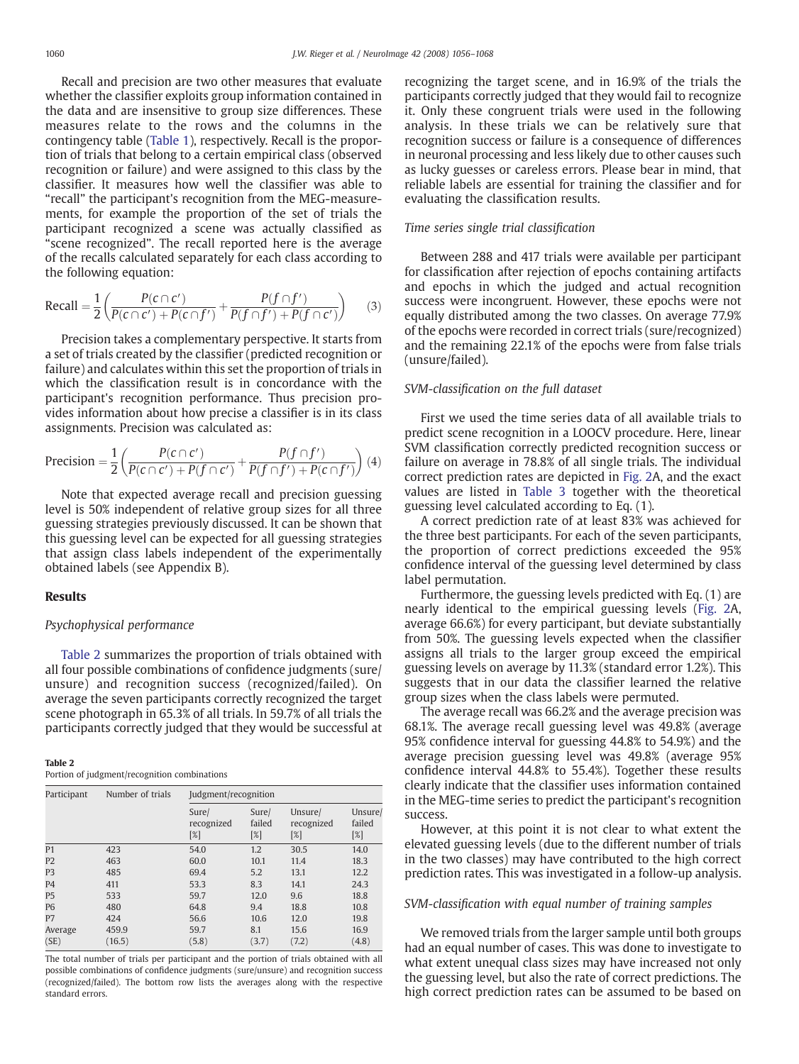Recall and precision are two other measures that evaluate whether the classifier exploits group information contained in the data and are insensitive to group size differences. These measures relate to the rows and the columns in the contingency table [\(Table 1](#page-3-0)), respectively. Recall is the proportion of trials that belong to a certain empirical class (observed recognition or failure) and were assigned to this class by the classifier. It measures how well the classifier was able to "recall" the participant's recognition from the MEG-measurements, for example the proportion of the set of trials the participant recognized a scene was actually classified as "scene recognized". The recall reported here is the average of the recalls calculated separately for each class according to the following equation:

$$
\text{Recall} = \frac{1}{2} \left( \frac{P(c \cap c')}{P(c \cap c') + P(c \cap f')} + \frac{P(f \cap f')}{P(f \cap f') + P(f \cap c')} \right) \tag{3}
$$

Precision takes a complementary perspective. It starts from a set of trials created by the classifier (predicted recognition or failure) and calculates within this set the proportion of trials in which the classification result is in concordance with the participant's recognition performance. Thus precision provides information about how precise a classifier is in its class assignments. Precision was calculated as:

$$
\text{Precision} = \frac{1}{2} \left( \frac{P(c \cap c')}{P(c \cap c') + P(f \cap c')} + \frac{P(f \cap f')}{P(f \cap f') + P(c \cap f')} \right) (4)
$$

Note that expected average recall and precision guessing level is 50% independent of relative group sizes for all three guessing strategies previously discussed. It can be shown that this guessing level can be expected for all guessing strategies that assign class labels independent of the experimentally obtained labels (see Appendix B).

#### Results

#### Psychophysical performance

Table 2 summarizes the proportion of trials obtained with all four possible combinations of confidence judgments (sure/ unsure) and recognition success (recognized/failed). On average the seven participants correctly recognized the target scene photograph in 65.3% of all trials. In 59.7% of all trials the participants correctly judged that they would be successful at

#### Table 2

Portion of judgment/recognition combinations

| Participant    | Number of trials | Judgment/recognition          |                        |                              |                             |  |
|----------------|------------------|-------------------------------|------------------------|------------------------------|-----------------------------|--|
|                |                  | Sure/<br>recognized<br>$[\%]$ | Sure/<br>failed<br>[%] | Unsure/<br>recognized<br>[%] | Unsure/<br>failed<br>$[\%]$ |  |
| P <sub>1</sub> | 423              | 54.0                          | 1.2                    | 30.5                         | 14.0                        |  |
| P <sub>2</sub> | 463              | 60.0                          | 10.1                   | 11.4                         | 18.3                        |  |
| P <sub>3</sub> | 485              | 69.4                          | 5.2                    | 13.1                         | 12.2                        |  |
| P <sub>4</sub> | 411              | 53.3                          | 8.3                    | 14.1                         | 24.3                        |  |
| P <sub>5</sub> | 533              | 59.7                          | 12.0                   | 9.6                          | 18.8                        |  |
| <b>P6</b>      | 480              | 64.8                          | 9.4                    | 18.8                         | 10.8                        |  |
| P7             | 424              | 56.6                          | 10.6                   | 12.0                         | 19.8                        |  |
| Average        | 459.9            | 59.7                          | 8.1                    | 15.6                         | 16.9                        |  |
| (SE)           | (16.5)           | (5.8)                         | (3.7)                  | (7.2)                        | (4.8)                       |  |

The total number of trials per participant and the portion of trials obtained with all possible combinations of confidence judgments (sure/unsure) and recognition success (recognized/failed). The bottom row lists the averages along with the respective standard errors.

recognizing the target scene, and in 16.9% of the trials the participants correctly judged that they would fail to recognize it. Only these congruent trials were used in the following analysis. In these trials we can be relatively sure that recognition success or failure is a consequence of differences in neuronal processing and less likely due to other causes such as lucky guesses or careless errors. Please bear in mind, that reliable labels are essential for training the classifier and for evaluating the classification results.

#### Time series single trial classification

Between 288 and 417 trials were available per participant for classification after rejection of epochs containing artifacts and epochs in which the judged and actual recognition success were incongruent. However, these epochs were not equally distributed among the two classes. On average 77.9% of the epochs were recorded in correct trials (sure/recognized) and the remaining 22.1% of the epochs were from false trials (unsure/failed).

#### SVM-classification on the full dataset

First we used the time series data of all available trials to predict scene recognition in a LOOCV procedure. Here, linear SVM classification correctly predicted recognition success or failure on average in 78.8% of all single trials. The individual correct prediction rates are depicted in [Fig. 2](#page-5-0)A, and the exact values are listed in [Table 3](#page-5-0) together with the theoretical guessing level calculated according to Eq. (1).

A correct prediction rate of at least 83% was achieved for the three best participants. For each of the seven participants, the proportion of correct predictions exceeded the 95% confidence interval of the guessing level determined by class label permutation.

Furthermore, the guessing levels predicted with Eq. (1) are nearly identical to the empirical guessing levels [\(Fig. 2A](#page-5-0), average 66.6%) for every participant, but deviate substantially from 50%. The guessing levels expected when the classifier assigns all trials to the larger group exceed the empirical guessing levels on average by 11.3% (standard error 1.2%). This suggests that in our data the classifier learned the relative group sizes when the class labels were permuted.

The average recall was 66.2% and the average precision was 68.1%. The average recall guessing level was 49.8% (average 95% confidence interval for guessing 44.8% to 54.9%) and the average precision guessing level was 49.8% (average 95% confidence interval 44.8% to 55.4%). Together these results clearly indicate that the classifier uses information contained in the MEG-time series to predict the participant's recognition success.

However, at this point it is not clear to what extent the elevated guessing levels (due to the different number of trials in the two classes) may have contributed to the high correct prediction rates. This was investigated in a follow-up analysis.

#### SVM-classification with equal number of training samples

We removed trials from the larger sample until both groups had an equal number of cases. This was done to investigate to what extent unequal class sizes may have increased not only the guessing level, but also the rate of correct predictions. The high correct prediction rates can be assumed to be based on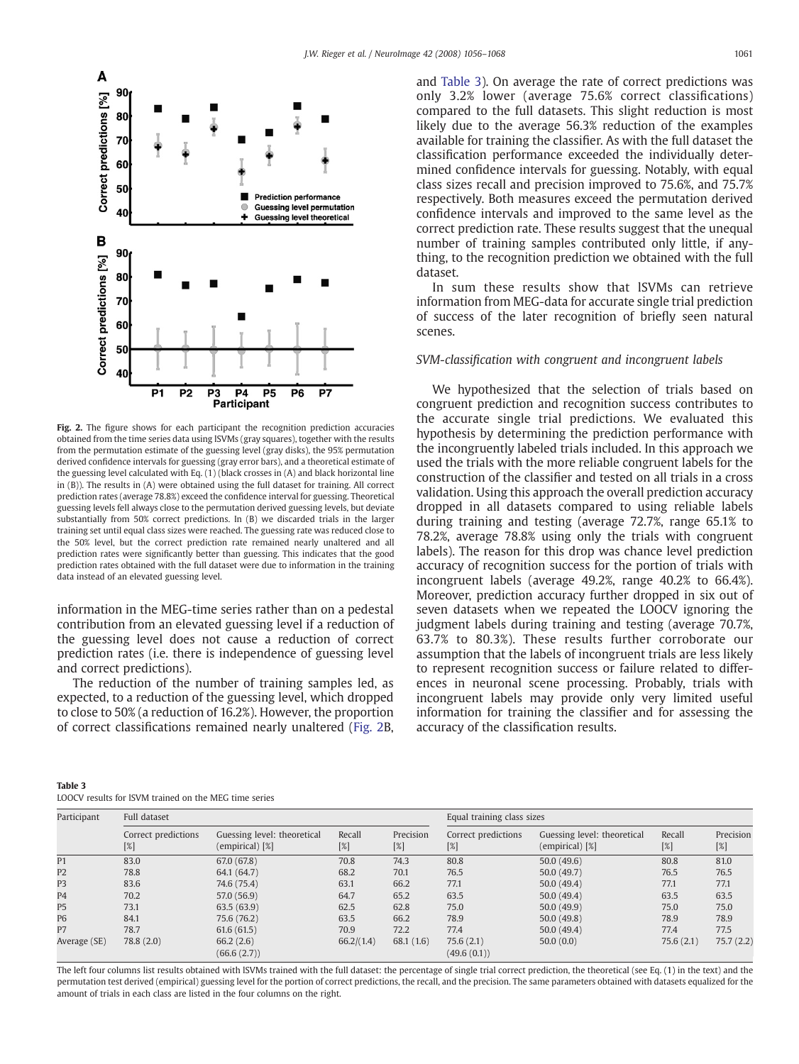<span id="page-5-0"></span>

Fig. 2. The figure shows for each participant the recognition prediction accuracies obtained from the time series data using lSVMs (gray squares), together with the results from the permutation estimate of the guessing level (gray disks), the 95% permutation derived confidence intervals for guessing (gray error bars), and a theoretical estimate of the guessing level calculated with Eq. (1) (black crosses in (A) and black horizontal line in (B)). The results in (A) were obtained using the full dataset for training. All correct prediction rates (average 78.8%) exceed the confidence interval for guessing. Theoretical guessing levels fell always close to the permutation derived guessing levels, but deviate substantially from 50% correct predictions. In (B) we discarded trials in the larger training set until equal class sizes were reached. The guessing rate was reduced close to the 50% level, but the correct prediction rate remained nearly unaltered and all prediction rates were significantly better than guessing. This indicates that the good prediction rates obtained with the full dataset were due to information in the training data instead of an elevated guessing level.

information in the MEG-time series rather than on a pedestal contribution from an elevated guessing level if a reduction of the guessing level does not cause a reduction of correct prediction rates (i.e. there is independence of guessing level and correct predictions).

The reduction of the number of training samples led, as expected, to a reduction of the guessing level, which dropped to close to 50% (a reduction of 16.2%). However, the proportion of correct classifications remained nearly unaltered (Fig. 2B, and Table 3). On average the rate of correct predictions was only 3.2% lower (average 75.6% correct classifications) compared to the full datasets. This slight reduction is most likely due to the average 56.3% reduction of the examples available for training the classifier. As with the full dataset the classification performance exceeded the individually determined confidence intervals for guessing. Notably, with equal class sizes recall and precision improved to 75.6%, and 75.7% respectively. Both measures exceed the permutation derived confidence intervals and improved to the same level as the correct prediction rate. These results suggest that the unequal number of training samples contributed only little, if anything, to the recognition prediction we obtained with the full dataset.

In sum these results show that lSVMs can retrieve information from MEG-data for accurate single trial prediction of success of the later recognition of briefly seen natural scenes.

#### SVM-classification with congruent and incongruent labels

We hypothesized that the selection of trials based on congruent prediction and recognition success contributes to the accurate single trial predictions. We evaluated this hypothesis by determining the prediction performance with the incongruently labeled trials included. In this approach we used the trials with the more reliable congruent labels for the construction of the classifier and tested on all trials in a cross validation. Using this approach the overall prediction accuracy dropped in all datasets compared to using reliable labels during training and testing (average 72.7%, range 65.1% to 78.2%, average 78.8% using only the trials with congruent labels). The reason for this drop was chance level prediction accuracy of recognition success for the portion of trials with incongruent labels (average 49.2%, range 40.2% to 66.4%). Moreover, prediction accuracy further dropped in six out of seven datasets when we repeated the LOOCV ignoring the judgment labels during training and testing (average 70.7%, 63.7% to 80.3%). These results further corroborate our assumption that the labels of incongruent trials are less likely to represent recognition success or failure related to differences in neuronal scene processing. Probably, trials with incongruent labels may provide only very limited useful information for training the classifier and for assessing the accuracy of the classification results.

| Table 3                                               |  |
|-------------------------------------------------------|--|
| LOOCV results for ISVM trained on the MEG time series |  |

| Participant    | Full dataset               |                                                        |                  |                  |                               | Equal training class sizes                     |               |                  |  |
|----------------|----------------------------|--------------------------------------------------------|------------------|------------------|-------------------------------|------------------------------------------------|---------------|------------------|--|
|                | Correct predictions<br>[%] | Guessing level: theoretical<br>$[$ empirical $[$ $\%]$ | Recall<br>$[\%]$ | Precision<br>[%] | Correct predictions<br>$[\%]$ | Guessing level: theoretical<br>(empirical) [%] | Recall<br>[%] | Precision<br>[%] |  |
| P <sub>1</sub> | 83.0                       | 67.0 (67.8)                                            | 70.8             | 74.3             | 80.8                          | 50.0(49.6)                                     | 80.8          | 81.0             |  |
| P <sub>2</sub> | 78.8                       | 64.1 (64.7)                                            | 68.2             | 70.1             | 76.5                          | 50.0(49.7)                                     | 76.5          | 76.5             |  |
| P <sub>3</sub> | 83.6                       | 74.6 (75.4)                                            | 63.1             | 66.2             | 77.1                          | 50.0(49.4)                                     | 77.1          | 77.1             |  |
| P <sub>4</sub> | 70.2                       | 57.0 (56.9)                                            | 64.7             | 65.2             | 63.5                          | 50.0(49.4)                                     | 63.5          | 63.5             |  |
| P <sub>5</sub> | 73.1                       | 63.5(63.9)                                             | 62.5             | 62.8             | 75.0                          | 50.0(49.9)                                     | 75.0          | 75.0             |  |
| <b>P6</b>      | 84.1                       | 75.6 (76.2)                                            | 63.5             | 66.2             | 78.9                          | 50.0(49.8)                                     | 78.9          | 78.9             |  |
| P7             | 78.7                       | 61.6(61.5)                                             | 70.9             | 72.2             | 77.4                          | 50.0(49.4)                                     | 77.4          | 77.5             |  |
| Average (SE)   | 78.8(2.0)                  | 66.2(2.6)<br>(66.6(2.7))                               | 66.2/(1.4)       | 68.1 (1.6)       | 75.6(2.1)<br>(49.6(0.1))      | 50.0(0.0)                                      | 75.6(2.1)     | 75.7(2.2)        |  |

The left four columns list results obtained with ISVMs trained with the full dataset: the percentage of single trial correct prediction, the theoretical (see Eq. (1) in the text) and the permutation test derived (empirical) guessing level for the portion of correct predictions, the recall, and the precision. The same parameters obtained with datasets equalized for the amount of trials in each class are listed in the four columns on the right.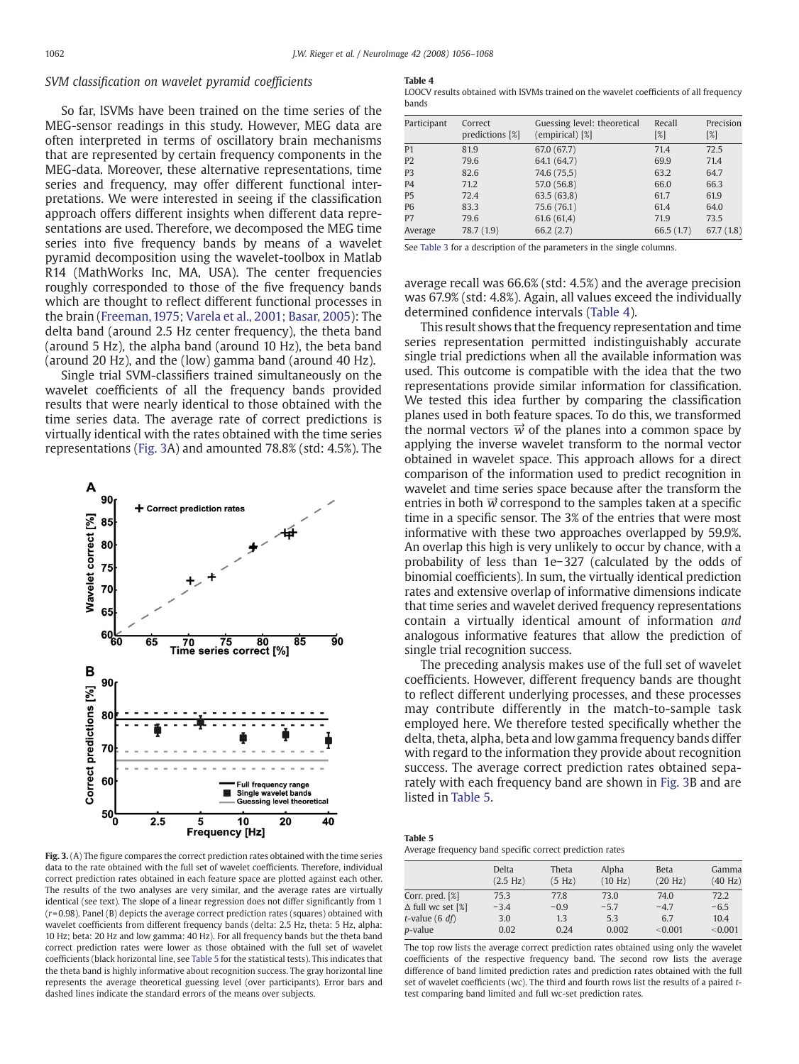#### <span id="page-6-0"></span>SVM classification on wavelet pyramid coefficients

So far, lSVMs have been trained on the time series of the MEG-sensor readings in this study. However, MEG data are often interpreted in terms of oscillatory brain mechanisms that are represented by certain frequency components in the MEG-data. Moreover, these alternative representations, time series and frequency, may offer different functional interpretations. We were interested in seeing if the classification approach offers different insights when different data representations are used. Therefore, we decomposed the MEG time series into five frequency bands by means of a wavelet pyramid decomposition using the wavelet-toolbox in Matlab R14 (MathWorks Inc, MA, USA). The center frequencies roughly corresponded to those of the five frequency bands which are thought to reflect different functional processes in the brain [\(Freeman, 1975; Varela et al., 2001; Basar, 2005\)](#page-12-0): The delta band (around 2.5 Hz center frequency), the theta band (around 5 Hz), the alpha band (around 10 Hz), the beta band (around 20 Hz), and the (low) gamma band (around 40 Hz).

Single trial SVM-classifiers trained simultaneously on the wavelet coefficients of all the frequency bands provided results that were nearly identical to those obtained with the time series data. The average rate of correct predictions is virtually identical with the rates obtained with the time series representations (Fig. 3A) and amounted 78.8% (std: 4.5%). The



Fig. 3. (A) The figure compares the correct prediction rates obtained with the time series data to the rate obtained with the full set of wavelet coefficients. Therefore, individual correct prediction rates obtained in each feature space are plotted against each other. The results of the two analyses are very similar, and the average rates are virtually identical (see text). The slope of a linear regression does not differ significantly from 1  $(r= 0.98)$ . Panel (B) depicts the average correct prediction rates (squares) obtained with wavelet coefficients from different frequency bands (delta: 2.5 Hz, theta: 5 Hz, alpha: 10 Hz; beta: 20 Hz and low gamma: 40 Hz). For all frequency bands but the theta band correct prediction rates were lower as those obtained with the full set of wavelet coefficients (black horizontal line, see Table 5 for the statistical tests). This indicates that the theta band is highly informative about recognition success. The gray horizontal line represents the average theoretical guessing level (over participants). Error bars and dashed lines indicate the standard errors of the means over subjects.

#### Table 4

LOOCV results obtained with lSVMs trained on the wavelet coefficients of all frequency bands

| Participant    | Correct<br>predictions [%] | Guessing level: theoretical<br>(empirical) [%] | Recall<br>$\lceil 2 \rceil$ | Precision<br>$[\%]$ |
|----------------|----------------------------|------------------------------------------------|-----------------------------|---------------------|
| P <sub>1</sub> | 81.9                       | 67.0 (67.7)                                    | 71.4                        | 72.5                |
| P <sub>2</sub> | 79.6                       | 64.1 (64,7)                                    | 69.9                        | 71.4                |
| P <sub>3</sub> | 82.6                       | 74.6 (75,5)                                    | 63.2                        | 64.7                |
| P <sub>4</sub> | 71.2                       | 57.0 (56.8)                                    | 66.0                        | 66.3                |
| P <sub>5</sub> | 72.4                       | 63.5(63,8)                                     | 61.7                        | 61.9                |
| <b>P6</b>      | 83.3                       | 75.6 (76.1)                                    | 61.4                        | 64.0                |
| P7             | 79.6                       | 61.6(61,4)                                     | 71.9                        | 73.5                |
| Average        | 78.7 (1.9)                 | 66.2(2.7)                                      | 66.5(1.7)                   | 67.7(1.8)           |

See [Table 3](#page-5-0) for a description of the parameters in the single columns.

average recall was 66.6% (std: 4.5%) and the average precision was 67.9% (std: 4.8%). Again, all values exceed the individually determined confidence intervals (Table 4).

This result shows that the frequency representation and time series representation permitted indistinguishably accurate single trial predictions when all the available information was used. This outcome is compatible with the idea that the two representations provide similar information for classification. We tested this idea further by comparing the classification planes used in both feature spaces. To do this, we transformed the normal vectors  $\vec{w}$  of the planes into a common space by applying the inverse wavelet transform to the normal vector obtained in wavelet space. This approach allows for a direct comparison of the information used to predict recognition in wavelet and time series space because after the transform the entries in both  $\vec{w}$  correspond to the samples taken at a specific time in a specific sensor. The 3% of the entries that were most informative with these two approaches overlapped by 59.9%. An overlap this high is very unlikely to occur by chance, with a probability of less than 1e−327 (calculated by the odds of binomial coefficients). In sum, the virtually identical prediction rates and extensive overlap of informative dimensions indicate that time series and wavelet derived frequency representations contain a virtually identical amount of information and analogous informative features that allow the prediction of single trial recognition success.

The preceding analysis makes use of the full set of wavelet coefficients. However, different frequency bands are thought to reflect different underlying processes, and these processes may contribute differently in the match-to-sample task employed here. We therefore tested specifically whether the delta, theta, alpha, beta and low gamma frequency bands differ with regard to the information they provide about recognition success. The average correct prediction rates obtained separately with each frequency band are shown in Fig. 3B and are listed in Table 5.

| Table 5 |                                                          |
|---------|----------------------------------------------------------|
|         | Average frequency band specific correct prediction rates |

|                          | Delta<br>$(2.5 \text{ Hz})$ | Theta<br>(5 Hz) | Alpha<br>(10 Hz) | <b>Beta</b><br>(20 Hz) | Gamma<br>(40 Hz) |
|--------------------------|-----------------------------|-----------------|------------------|------------------------|------------------|
| Corr. pred. [%]          | 75.3                        | 77.8            | 73.0             | 74.0                   | 72.2             |
| $\Delta$ full wc set [%] | $-3.4$                      | $-0.9$          | $-5.7$           | $-4.7$                 | $-6.5$           |
| $t$ -value (6 $df$ )     | 3.0                         | 1.3             | 5.3              | 6.7                    | 10.4             |
| p-value                  | 0.02                        | 0.24            | 0.002            | < 0.001                | < 0.001          |

The top row lists the average correct prediction rates obtained using only the wavelet coefficients of the respective frequency band. The second row lists the average difference of band limited prediction rates and prediction rates obtained with the full set of wavelet coefficients (wc). The third and fourth rows list the results of a paired ttest comparing band limited and full wc-set prediction rates.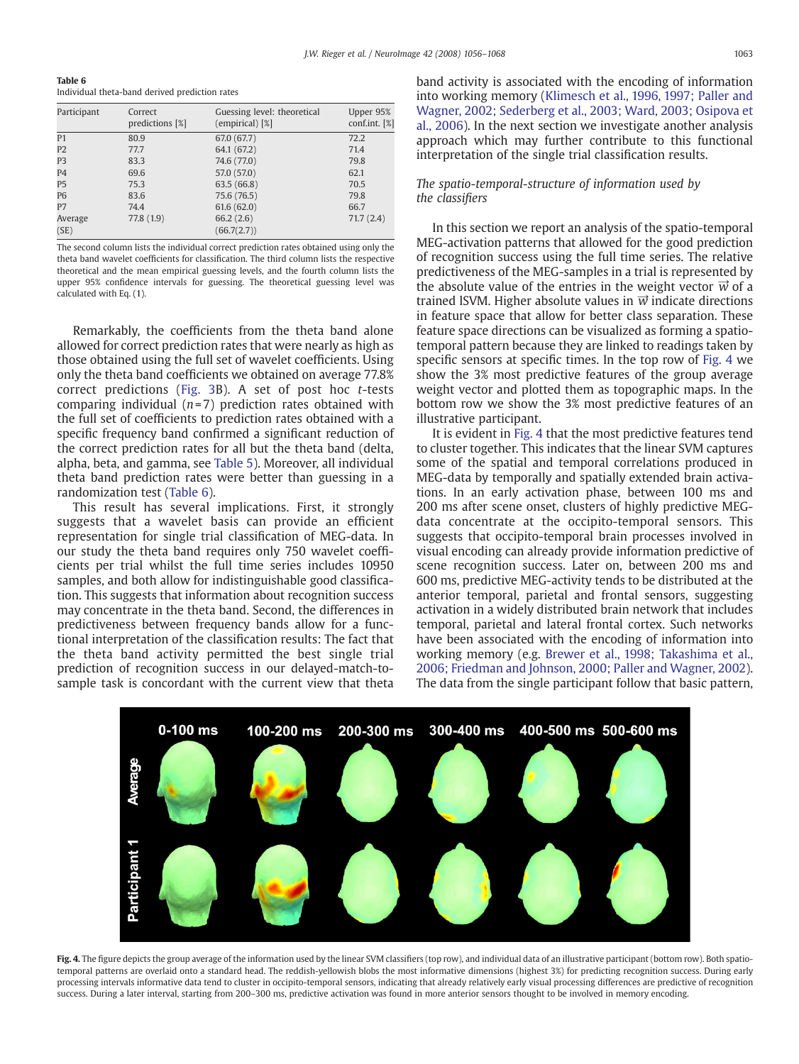<span id="page-7-0"></span>Table 6 Individual theta-band derived prediction rates

| Participant     | Correct<br>predictions [%] | Guessing level: theoretical<br>(empirical) [%] | Upper 95%<br>conf.int. [%] |
|-----------------|----------------------------|------------------------------------------------|----------------------------|
| P <sub>1</sub>  | 80.9                       | 67.0 (67.7)                                    | 72.2                       |
| P <sub>2</sub>  | 77.7                       | 64.1 (67.2)                                    | 71.4                       |
| P3              | 83.3                       | 74.6 (77.0)                                    | 79.8                       |
| P <sub>4</sub>  | 69.6                       | 57.0 (57.0)                                    | 62.1                       |
| P <sub>5</sub>  | 75.3                       | 63.5(66.8)                                     | 70.5                       |
| <b>P6</b>       | 83.6                       | 75.6 (76.5)                                    | 79.8                       |
| P7              | 74.4                       | 61.6(62.0)                                     | 66.7                       |
| Average<br>(SE) | 77.8(1.9)                  | 66.2(2.6)<br>(66.7(2.7))                       | 71.7(2.4)                  |

The second column lists the individual correct prediction rates obtained using only the theta band wavelet coefficients for classification. The third column lists the respective theoretical and the mean empirical guessing levels, and the fourth column lists the upper 95% confidence intervals for guessing. The theoretical guessing level was calculated with Eq. (1).

Remarkably, the coefficients from the theta band alone allowed for correct prediction rates that were nearly as high as those obtained using the full set of wavelet coefficients. Using only the theta band coefficients we obtained on average 77.8% correct predictions ([Fig. 3B](#page-6-0)). A set of post hoc t-tests comparing individual  $(n=7)$  prediction rates obtained with the full set of coefficients to prediction rates obtained with a specific frequency band confirmed a significant reduction of the correct prediction rates for all but the theta band (delta, alpha, beta, and gamma, see [Table 5\)](#page-6-0). Moreover, all individual theta band prediction rates were better than guessing in a randomization test (Table 6).

This result has several implications. First, it strongly suggests that a wavelet basis can provide an efficient representation for single trial classification of MEG-data. In our study the theta band requires only 750 wavelet coefficients per trial whilst the full time series includes 10950 samples, and both allow for indistinguishable good classification. This suggests that information about recognition success may concentrate in the theta band. Second, the differences in predictiveness between frequency bands allow for a functional interpretation of the classification results: The fact that the theta band activity permitted the best single trial prediction of recognition success in our delayed-match-tosample task is concordant with the current view that theta

band activity is associated with the encoding of information into working memory ([Klimesch et al., 1996, 1997; Paller and](#page-12-0) [Wagner, 2002; Sederberg et al., 2003; Ward, 2003; Osipova et](#page-12-0) [al., 2006](#page-12-0)). In the next section we investigate another analysis approach which may further contribute to this functional interpretation of the single trial classification results.

## The spatio-temporal-structure of information used by the classifiers

In this section we report an analysis of the spatio-temporal MEG-activation patterns that allowed for the good prediction of recognition success using the full time series. The relative predictiveness of the MEG-samples in a trial is represented by the absolute value of the entries in the weight vector  $\vec{w}$  of a trained ISVM. Higher absolute values in  $\vec{w}$  indicate directions in feature space that allow for better class separation. These feature space directions can be visualized as forming a spatiotemporal pattern because they are linked to readings taken by specific sensors at specific times. In the top row of Fig. 4 we show the 3% most predictive features of the group average weight vector and plotted them as topographic maps. In the bottom row we show the 3% most predictive features of an illustrative participant.

It is evident in Fig. 4 that the most predictive features tend to cluster together. This indicates that the linear SVM captures some of the spatial and temporal correlations produced in MEG-data by temporally and spatially extended brain activations. In an early activation phase, between 100 ms and 200 ms after scene onset, clusters of highly predictive MEGdata concentrate at the occipito-temporal sensors. This suggests that occipito-temporal brain processes involved in visual encoding can already provide information predictive of scene recognition success. Later on, between 200 ms and 600 ms, predictive MEG-activity tends to be distributed at the anterior temporal, parietal and frontal sensors, suggesting activation in a widely distributed brain network that includes temporal, parietal and lateral frontal cortex. Such networks have been associated with the encoding of information into working memory (e.g. [Brewer et al., 1998; Takashima et al.,](#page-12-0) [2006; Friedman and Johnson, 2000; Paller and Wagner, 2002](#page-12-0)). The data from the single participant follow that basic pattern,



Fig. 4. The figure depicts the group average of the information used by the linear SVM classifiers (top row), and individual data of an illustrative participant (bottom row). Both spatiotemporal patterns are overlaid onto a standard head. The reddish-yellowish blobs the most informative dimensions (highest 3%) for predicting recognition success. During early processing intervals informative data tend to cluster in occipito-temporal sensors, indicating that already relatively early visual processing differences are predictive of recognition success. During a later interval, starting from 200–300 ms, predictive activation was found in more anterior sensors thought to be involved in memory encoding.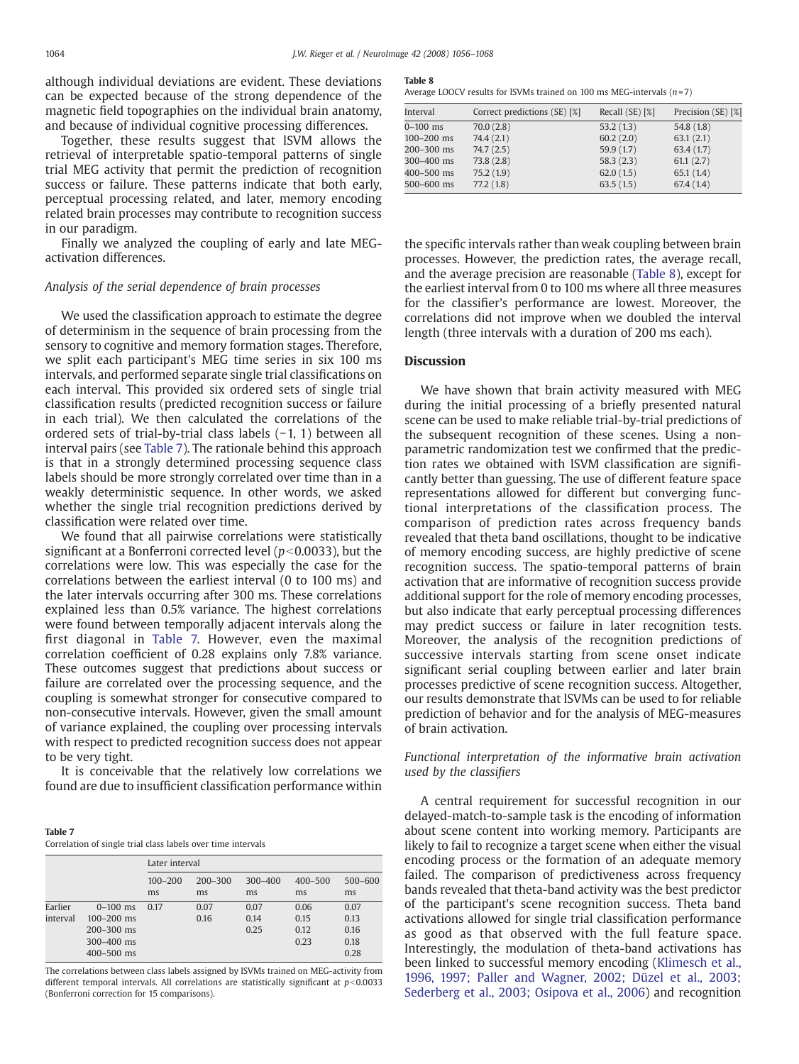although individual deviations are evident. These deviations can be expected because of the strong dependence of the magnetic field topographies on the individual brain anatomy, and because of individual cognitive processing differences.

Together, these results suggest that lSVM allows the retrieval of interpretable spatio-temporal patterns of single trial MEG activity that permit the prediction of recognition success or failure. These patterns indicate that both early, perceptual processing related, and later, memory encoding related brain processes may contribute to recognition success in our paradigm.

Finally we analyzed the coupling of early and late MEGactivation differences.

#### Analysis of the serial dependence of brain processes

We used the classification approach to estimate the degree of determinism in the sequence of brain processing from the sensory to cognitive and memory formation stages. Therefore, we split each participant's MEG time series in six 100 ms intervals, and performed separate single trial classifications on each interval. This provided six ordered sets of single trial classification results (predicted recognition success or failure in each trial). We then calculated the correlations of the ordered sets of trial-by-trial class labels (−1, 1) between all interval pairs (see Table 7). The rationale behind this approach is that in a strongly determined processing sequence class labels should be more strongly correlated over time than in a weakly deterministic sequence. In other words, we asked whether the single trial recognition predictions derived by classification were related over time.

We found that all pairwise correlations were statistically significant at a Bonferroni corrected level ( $p$ <0.0033), but the correlations were low. This was especially the case for the correlations between the earliest interval (0 to 100 ms) and the later intervals occurring after 300 ms. These correlations explained less than 0.5% variance. The highest correlations were found between temporally adjacent intervals along the first diagonal in Table 7. However, even the maximal correlation coefficient of 0.28 explains only 7.8% variance. These outcomes suggest that predictions about success or failure are correlated over the processing sequence, and the coupling is somewhat stronger for consecutive compared to non-consecutive intervals. However, given the small amount of variance explained, the coupling over processing intervals with respect to predicted recognition success does not appear to be very tight.

It is conceivable that the relatively low correlations we found are due to insufficient classification performance within

| Table 7                                                      |  |  |  |  |
|--------------------------------------------------------------|--|--|--|--|
| Correlation of single trial class labels over time intervals |  |  |  |  |

|                     |                                                                                      | Later interval    |                   |                      |                              |                                      |
|---------------------|--------------------------------------------------------------------------------------|-------------------|-------------------|----------------------|------------------------------|--------------------------------------|
|                     |                                                                                      | $100 - 200$<br>ms | $200 - 300$<br>ms | $300 - 400$<br>ms    | $400 - 500$<br>ms            | $500 - 600$<br>ms                    |
| Earlier<br>interval | $0 - 100$ ms<br>$100 - 200$ ms<br>$200 - 300$ ms<br>$300 - 400$ ms<br>$400 - 500$ ms | 0.17              | 0.07<br>0.16      | 0.07<br>0.14<br>0.25 | 0.06<br>0.15<br>0.12<br>0.23 | 0.07<br>0.13<br>0.16<br>0.18<br>0.28 |

The correlations between class labels assigned by lSVMs trained on MEG-activity from different temporal intervals. All correlations are statistically significant at  $p<0.0033$ (Bonferroni correction for 15 comparisons).

Table 8

Average LOOCV results for ISVMs trained on 100 ms MEG-intervals  $(n=7)$ 

| Interval       | Correct predictions (SE) [%] | Recall (SE) [%] | Precision (SE) [%] |
|----------------|------------------------------|-----------------|--------------------|
| $0 - 100$ ms   | 70.0(2.8)                    | 53.2(1.3)       | 54.8(1.8)          |
| $100 - 200$ ms | 74.4(2.1)                    | 60.2(2.0)       | 63.1(2.1)          |
| $200 - 300$ ms | 74.7(2.5)                    | 59.9(1.7)       | 63.4(1.7)          |
| $300 - 400$ ms | 73.8(2.8)                    | 58.3(2.3)       | 61.1(2.7)          |
| 400-500 ms     | 75.2(1.9)                    | 62.0(1.5)       | 65.1(1.4)          |
| 500-600 ms     | 77.2(1.8)                    | 63.5(1.5)       | 67.4(1.4)          |

the specific intervals rather than weak coupling between brain processes. However, the prediction rates, the average recall, and the average precision are reasonable (Table 8), except for the earliest interval from 0 to 100 ms where all three measures for the classifier's performance are lowest. Moreover, the correlations did not improve when we doubled the interval length (three intervals with a duration of 200 ms each).

#### **Discussion**

We have shown that brain activity measured with MEG during the initial processing of a briefly presented natural scene can be used to make reliable trial-by-trial predictions of the subsequent recognition of these scenes. Using a nonparametric randomization test we confirmed that the prediction rates we obtained with lSVM classification are significantly better than guessing. The use of different feature space representations allowed for different but converging functional interpretations of the classification process. The comparison of prediction rates across frequency bands revealed that theta band oscillations, thought to be indicative of memory encoding success, are highly predictive of scene recognition success. The spatio-temporal patterns of brain activation that are informative of recognition success provide additional support for the role of memory encoding processes, but also indicate that early perceptual processing differences may predict success or failure in later recognition tests. Moreover, the analysis of the recognition predictions of successive intervals starting from scene onset indicate significant serial coupling between earlier and later brain processes predictive of scene recognition success. Altogether, our results demonstrate that lSVMs can be used to for reliable prediction of behavior and for the analysis of MEG-measures of brain activation.

Functional interpretation of the informative brain activation used by the classifiers

A central requirement for successful recognition in our delayed-match-to-sample task is the encoding of information about scene content into working memory. Participants are likely to fail to recognize a target scene when either the visual encoding process or the formation of an adequate memory failed. The comparison of predictiveness across frequency bands revealed that theta-band activity was the best predictor of the participant's scene recognition success. Theta band activations allowed for single trial classification performance as good as that observed with the full feature space. Interestingly, the modulation of theta-band activations has been linked to successful memory encoding ([Klimesch et al.,](#page-12-0) [1996, 1997; Paller and Wagner, 2002; Düzel et al., 2003;](#page-12-0) [Sederberg et al., 2003; Osipova et al., 2006](#page-12-0)) and recognition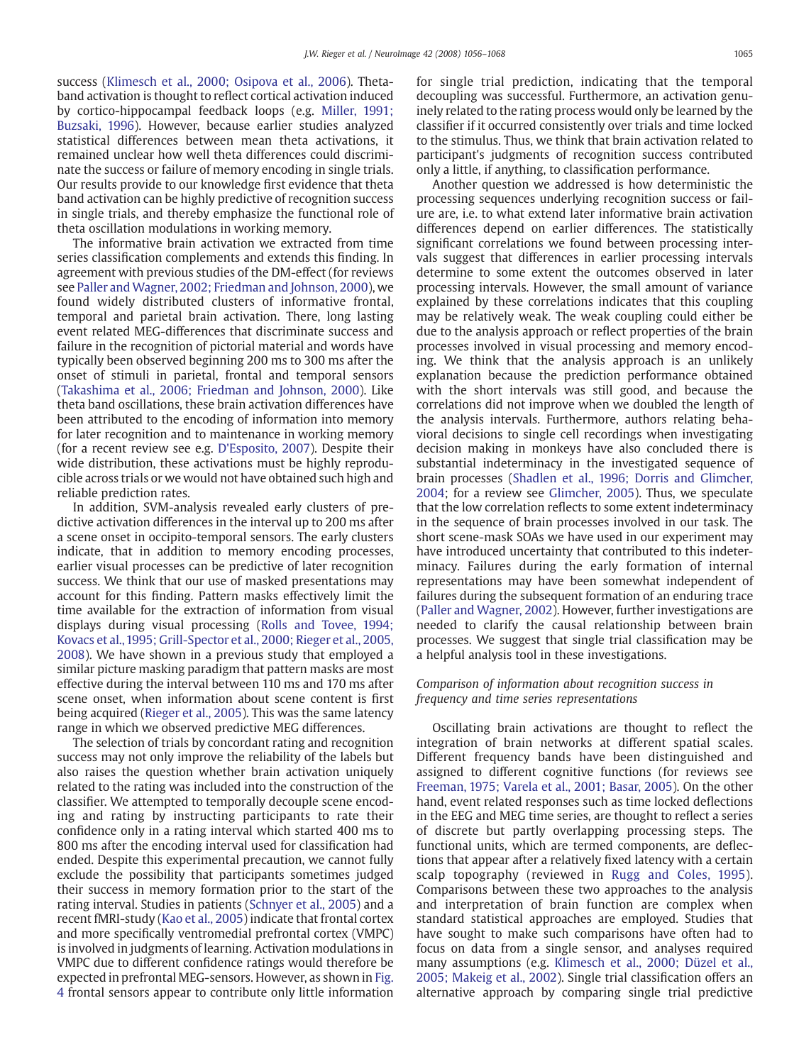success ([Klimesch et al., 2000; Osipova et al., 2006](#page-12-0)). Thetaband activation is thought to reflect cortical activation induced by cortico-hippocampal feedback loops (e.g. [Miller, 1991;](#page-12-0) [Buzsaki, 1996](#page-12-0)). However, because earlier studies analyzed statistical differences between mean theta activations, it remained unclear how well theta differences could discriminate the success or failure of memory encoding in single trials. Our results provide to our knowledge first evidence that theta band activation can be highly predictive of recognition success in single trials, and thereby emphasize the functional role of theta oscillation modulations in working memory.

The informative brain activation we extracted from time series classification complements and extends this finding. In agreement with previous studies of the DM-effect (for reviews see [Paller andWagner, 2002; Friedman and Johnson, 2000](#page-12-0)), we found widely distributed clusters of informative frontal, temporal and parietal brain activation. There, long lasting event related MEG-differences that discriminate success and failure in the recognition of pictorial material and words have typically been observed beginning 200 ms to 300 ms after the onset of stimuli in parietal, frontal and temporal sensors ([Takashima et al., 2006; Friedman and Johnson, 2000\)](#page-12-0). Like theta band oscillations, these brain activation differences have been attributed to the encoding of information into memory for later recognition and to maintenance in working memory (for a recent review see e.g. [D'Esposito, 2007](#page-12-0)). Despite their wide distribution, these activations must be highly reproducible across trials or we would not have obtained such high and reliable prediction rates.

In addition, SVM-analysis revealed early clusters of predictive activation differences in the interval up to 200 ms after a scene onset in occipito-temporal sensors. The early clusters indicate, that in addition to memory encoding processes, earlier visual processes can be predictive of later recognition success. We think that our use of masked presentations may account for this finding. Pattern masks effectively limit the time available for the extraction of information from visual displays during visual processing ([Rolls and Tovee, 1994;](#page-12-0) [Kovacs et al.,1995; Grill-Spector et al., 2000; Rieger et al., 2005,](#page-12-0) [2008](#page-12-0)). We have shown in a previous study that employed a similar picture masking paradigm that pattern masks are most effective during the interval between 110 ms and 170 ms after scene onset, when information about scene content is first being acquired [\(Rieger et al., 2005](#page-12-0)). This was the same latency range in which we observed predictive MEG differences.

The selection of trials by concordant rating and recognition success may not only improve the reliability of the labels but also raises the question whether brain activation uniquely related to the rating was included into the construction of the classifier. We attempted to temporally decouple scene encoding and rating by instructing participants to rate their confidence only in a rating interval which started 400 ms to 800 ms after the encoding interval used for classification had ended. Despite this experimental precaution, we cannot fully exclude the possibility that participants sometimes judged their success in memory formation prior to the start of the rating interval. Studies in patients [\(Schnyer et al., 2005\)](#page-12-0) and a recent fMRI-study ([Kao et al., 2005](#page-12-0)) indicate that frontal cortex and more specifically ventromedial prefrontal cortex (VMPC) is involved in judgments of learning. Activation modulations in VMPC due to different confidence ratings would therefore be expected in prefrontal MEG-sensors. However, as shown in [Fig.](#page-7-0) [4](#page-7-0) frontal sensors appear to contribute only little information for single trial prediction, indicating that the temporal decoupling was successful. Furthermore, an activation genuinely related to the rating process would only be learned by the classifier if it occurred consistently over trials and time locked to the stimulus. Thus, we think that brain activation related to participant's judgments of recognition success contributed only a little, if anything, to classification performance.

Another question we addressed is how deterministic the processing sequences underlying recognition success or failure are, i.e. to what extend later informative brain activation differences depend on earlier differences. The statistically significant correlations we found between processing intervals suggest that differences in earlier processing intervals determine to some extent the outcomes observed in later processing intervals. However, the small amount of variance explained by these correlations indicates that this coupling may be relatively weak. The weak coupling could either be due to the analysis approach or reflect properties of the brain processes involved in visual processing and memory encoding. We think that the analysis approach is an unlikely explanation because the prediction performance obtained with the short intervals was still good, and because the correlations did not improve when we doubled the length of the analysis intervals. Furthermore, authors relating behavioral decisions to single cell recordings when investigating decision making in monkeys have also concluded there is substantial indeterminacy in the investigated sequence of brain processes [\(Shadlen et al., 1996; Dorris and Glimcher,](#page-12-0) [2004](#page-12-0); for a review see [Glimcher, 2005](#page-12-0)). Thus, we speculate that the low correlation reflects to some extent indeterminacy in the sequence of brain processes involved in our task. The short scene-mask SOAs we have used in our experiment may have introduced uncertainty that contributed to this indeterminacy. Failures during the early formation of internal representations may have been somewhat independent of failures during the subsequent formation of an enduring trace ([Paller and Wagner, 2002\)](#page-12-0). However, further investigations are needed to clarify the causal relationship between brain processes. We suggest that single trial classification may be a helpful analysis tool in these investigations.

# Comparison of information about recognition success in frequency and time series representations

Oscillating brain activations are thought to reflect the integration of brain networks at different spatial scales. Different frequency bands have been distinguished and assigned to different cognitive functions (for reviews see [Freeman, 1975; Varela et al., 2001; Basar, 2005](#page-12-0)). On the other hand, event related responses such as time locked deflections in the EEG and MEG time series, are thought to reflect a series of discrete but partly overlapping processing steps. The functional units, which are termed components, are deflections that appear after a relatively fixed latency with a certain scalp topography (reviewed in [Rugg and Coles, 1995\)](#page-12-0). Comparisons between these two approaches to the analysis and interpretation of brain function are complex when standard statistical approaches are employed. Studies that have sought to make such comparisons have often had to focus on data from a single sensor, and analyses required many assumptions (e.g. [Klimesch et al., 2000; Düzel et al.,](#page-12-0) [2005; Makeig et al., 2002](#page-12-0)). Single trial classification offers an alternative approach by comparing single trial predictive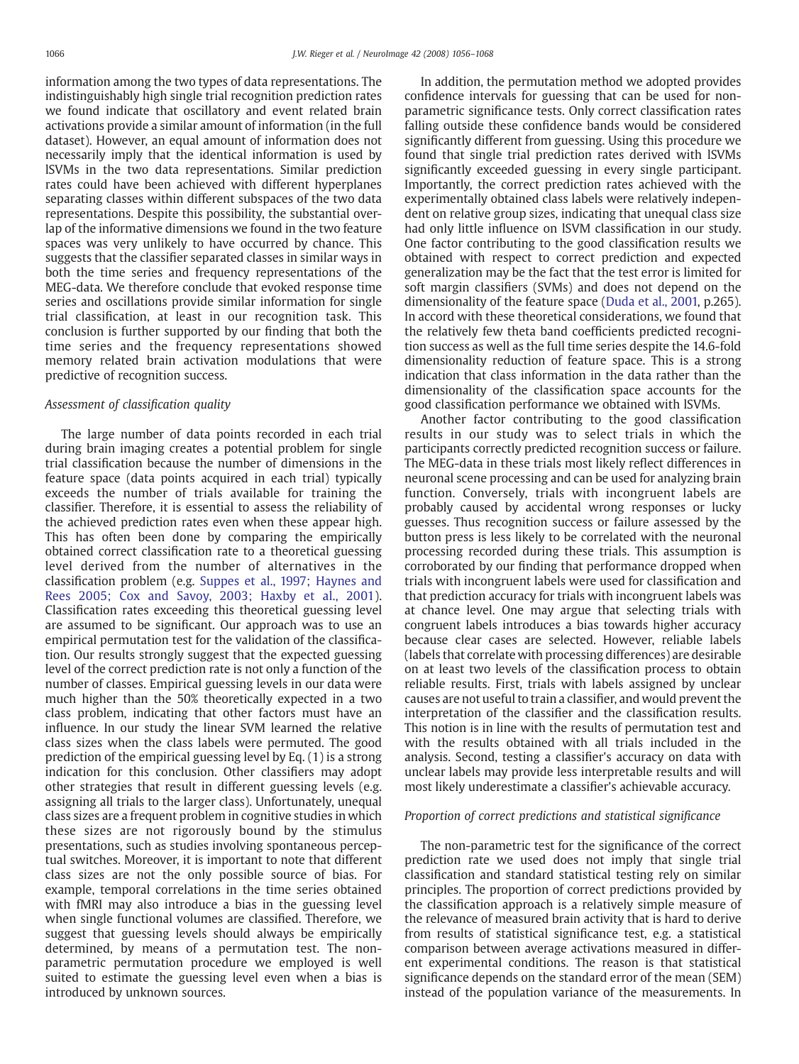information among the two types of data representations. The indistinguishably high single trial recognition prediction rates we found indicate that oscillatory and event related brain activations provide a similar amount of information (in the full dataset). However, an equal amount of information does not necessarily imply that the identical information is used by lSVMs in the two data representations. Similar prediction rates could have been achieved with different hyperplanes separating classes within different subspaces of the two data representations. Despite this possibility, the substantial overlap of the informative dimensions we found in the two feature spaces was very unlikely to have occurred by chance. This suggests that the classifier separated classes in similar ways in both the time series and frequency representations of the MEG-data. We therefore conclude that evoked response time series and oscillations provide similar information for single trial classification, at least in our recognition task. This conclusion is further supported by our finding that both the time series and the frequency representations showed memory related brain activation modulations that were predictive of recognition success.

#### Assessment of classification quality

The large number of data points recorded in each trial during brain imaging creates a potential problem for single trial classification because the number of dimensions in the feature space (data points acquired in each trial) typically exceeds the number of trials available for training the classifier. Therefore, it is essential to assess the reliability of the achieved prediction rates even when these appear high. This has often been done by comparing the empirically obtained correct classification rate to a theoretical guessing level derived from the number of alternatives in the classification problem (e.g. [Suppes et al., 1997; Haynes and](#page-12-0) [Rees 2005; Cox and Savoy, 2003; Haxby et al., 2001](#page-12-0)). Classification rates exceeding this theoretical guessing level are assumed to be significant. Our approach was to use an empirical permutation test for the validation of the classification. Our results strongly suggest that the expected guessing level of the correct prediction rate is not only a function of the number of classes. Empirical guessing levels in our data were much higher than the 50% theoretically expected in a two class problem, indicating that other factors must have an influence. In our study the linear SVM learned the relative class sizes when the class labels were permuted. The good prediction of the empirical guessing level by Eq. (1) is a strong indication for this conclusion. Other classifiers may adopt other strategies that result in different guessing levels (e.g. assigning all trials to the larger class). Unfortunately, unequal class sizes are a frequent problem in cognitive studies in which these sizes are not rigorously bound by the stimulus presentations, such as studies involving spontaneous perceptual switches. Moreover, it is important to note that different class sizes are not the only possible source of bias. For example, temporal correlations in the time series obtained with fMRI may also introduce a bias in the guessing level when single functional volumes are classified. Therefore, we suggest that guessing levels should always be empirically determined, by means of a permutation test. The nonparametric permutation procedure we employed is well suited to estimate the guessing level even when a bias is introduced by unknown sources.

In addition, the permutation method we adopted provides confidence intervals for guessing that can be used for nonparametric significance tests. Only correct classification rates falling outside these confidence bands would be considered significantly different from guessing. Using this procedure we found that single trial prediction rates derived with lSVMs significantly exceeded guessing in every single participant. Importantly, the correct prediction rates achieved with the experimentally obtained class labels were relatively independent on relative group sizes, indicating that unequal class size had only little influence on lSVM classification in our study. One factor contributing to the good classification results we obtained with respect to correct prediction and expected generalization may be the fact that the test error is limited for soft margin classifiers (SVMs) and does not depend on the dimensionality of the feature space ([Duda et al., 2001,](#page-12-0) p.265). In accord with these theoretical considerations, we found that the relatively few theta band coefficients predicted recognition success as well as the full time series despite the 14.6-fold dimensionality reduction of feature space. This is a strong indication that class information in the data rather than the dimensionality of the classification space accounts for the good classification performance we obtained with lSVMs.

Another factor contributing to the good classification results in our study was to select trials in which the participants correctly predicted recognition success or failure. The MEG-data in these trials most likely reflect differences in neuronal scene processing and can be used for analyzing brain function. Conversely, trials with incongruent labels are probably caused by accidental wrong responses or lucky guesses. Thus recognition success or failure assessed by the button press is less likely to be correlated with the neuronal processing recorded during these trials. This assumption is corroborated by our finding that performance dropped when trials with incongruent labels were used for classification and that prediction accuracy for trials with incongruent labels was at chance level. One may argue that selecting trials with congruent labels introduces a bias towards higher accuracy because clear cases are selected. However, reliable labels (labels that correlate with processing differences) are desirable on at least two levels of the classification process to obtain reliable results. First, trials with labels assigned by unclear causes are not useful to train a classifier, and would prevent the interpretation of the classifier and the classification results. This notion is in line with the results of permutation test and with the results obtained with all trials included in the analysis. Second, testing a classifier's accuracy on data with unclear labels may provide less interpretable results and will most likely underestimate a classifier's achievable accuracy.

### Proportion of correct predictions and statistical significance

The non-parametric test for the significance of the correct prediction rate we used does not imply that single trial classification and standard statistical testing rely on similar principles. The proportion of correct predictions provided by the classification approach is a relatively simple measure of the relevance of measured brain activity that is hard to derive from results of statistical significance test, e.g. a statistical comparison between average activations measured in different experimental conditions. The reason is that statistical significance depends on the standard error of the mean (SEM) instead of the population variance of the measurements. In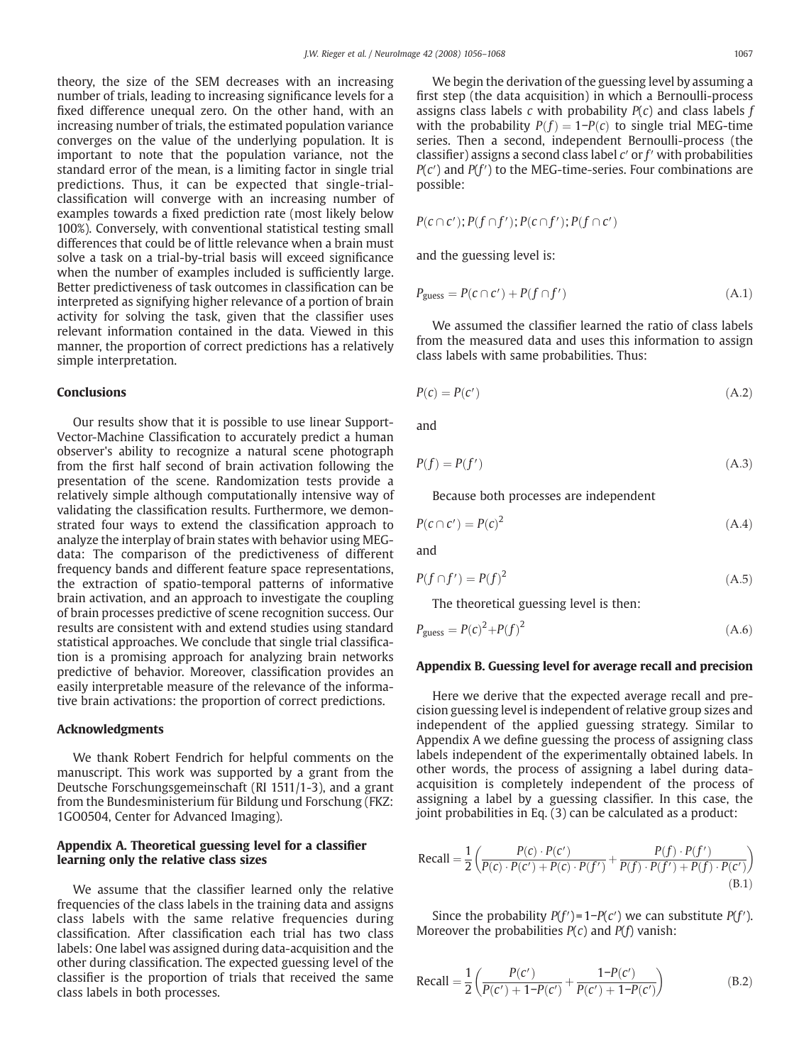theory, the size of the SEM decreases with an increasing number of trials, leading to increasing significance levels for a fixed difference unequal zero. On the other hand, with an increasing number of trials, the estimated population variance converges on the value of the underlying population. It is important to note that the population variance, not the standard error of the mean, is a limiting factor in single trial predictions. Thus, it can be expected that single-trialclassification will converge with an increasing number of examples towards a fixed prediction rate (most likely below 100%). Conversely, with conventional statistical testing small differences that could be of little relevance when a brain must solve a task on a trial-by-trial basis will exceed significance when the number of examples included is sufficiently large. Better predictiveness of task outcomes in classification can be interpreted as signifying higher relevance of a portion of brain activity for solving the task, given that the classifier uses relevant information contained in the data. Viewed in this manner, the proportion of correct predictions has a relatively simple interpretation.

#### **Conclusions**

Our results show that it is possible to use linear Support-Vector-Machine Classification to accurately predict a human observer's ability to recognize a natural scene photograph from the first half second of brain activation following the presentation of the scene. Randomization tests provide a relatively simple although computationally intensive way of validating the classification results. Furthermore, we demonstrated four ways to extend the classification approach to analyze the interplay of brain states with behavior using MEGdata: The comparison of the predictiveness of different frequency bands and different feature space representations, the extraction of spatio-temporal patterns of informative brain activation, and an approach to investigate the coupling of brain processes predictive of scene recognition success. Our results are consistent with and extend studies using standard statistical approaches. We conclude that single trial classification is a promising approach for analyzing brain networks predictive of behavior. Moreover, classification provides an easily interpretable measure of the relevance of the informative brain activations: the proportion of correct predictions.

#### Acknowledgments

We thank Robert Fendrich for helpful comments on the manuscript. This work was supported by a grant from the Deutsche Forschungsgemeinschaft (RI 1511/1-3), and a grant from the Bundesministerium für Bildung und Forschung (FKZ: 1GO0504, Center for Advanced Imaging).

# Appendix A. Theoretical guessing level for a classifier learning only the relative class sizes

We assume that the classifier learned only the relative frequencies of the class labels in the training data and assigns class labels with the same relative frequencies during classification. After classification each trial has two class labels: One label was assigned during data-acquisition and the other during classification. The expected guessing level of the classifier is the proportion of trials that received the same class labels in both processes.

We begin the derivation of the guessing level by assuming a first step (the data acquisition) in which a Bernoulli-process assigns class labels  $c$  with probability  $P(c)$  and class labels  $f$ with the probability  $P(f) = 1-P(c)$  to single trial MEG-time series. Then a second, independent Bernoulli-process (the classifier) assigns a second class label c′ or f′ with probabilities  $P(c')$  and  $P(f')$  to the MEG-time-series. Four combinations are possible:

$$
P(c \cap c'); P(f \cap f'); P(c \cap f'); P(f \cap c')
$$

and the guessing level is:

$$
P_{\text{guess}} = P(c \cap c') + P(f \cap f') \tag{A.1}
$$

We assumed the classifier learned the ratio of class labels from the measured data and uses this information to assign class labels with same probabilities. Thus:

$$
P(c) = P(c') \tag{A.2}
$$

and

$$
P(f) = P(f') \tag{A.3}
$$

Because both processes are independent

$$
P(c \cap c') = P(c)^2 \tag{A.4}
$$

and

$$
P(f \cap f') = P(f)^2 \tag{A.5}
$$

The theoretical guessing level is then:

$$
P_{\text{guess}} = P(c)^2 + P(f)^2 \tag{A.6}
$$

#### Appendix B. Guessing level for average recall and precision

Here we derive that the expected average recall and precision guessing level is independent of relative group sizes and independent of the applied guessing strategy. Similar to Appendix A we define guessing the process of assigning class labels independent of the experimentally obtained labels. In other words, the process of assigning a label during dataacquisition is completely independent of the process of assigning a label by a guessing classifier. In this case, the joint probabilities in Eq. (3) can be calculated as a product:

Recall = 
$$
\frac{1}{2} \left( \frac{P(c) \cdot P(c')}{P(c) \cdot P(c') + P(c) \cdot P(f')} + \frac{P(f) \cdot P(f')}{P(f) \cdot P(f') + P(f) \cdot P(c')} \right)
$$
(B.1)

Since the probability  $P(f')=1-P(c')$  we can substitute  $P(f')$ . Moreover the probabilities  $P(c)$  and  $P(f)$  vanish:

$$
Recall = \frac{1}{2} \left( \frac{P(c')}{P(c') + 1 - P(c')} + \frac{1 - P(c')}{P(c') + 1 - P(c')} \right)
$$
(B.2)